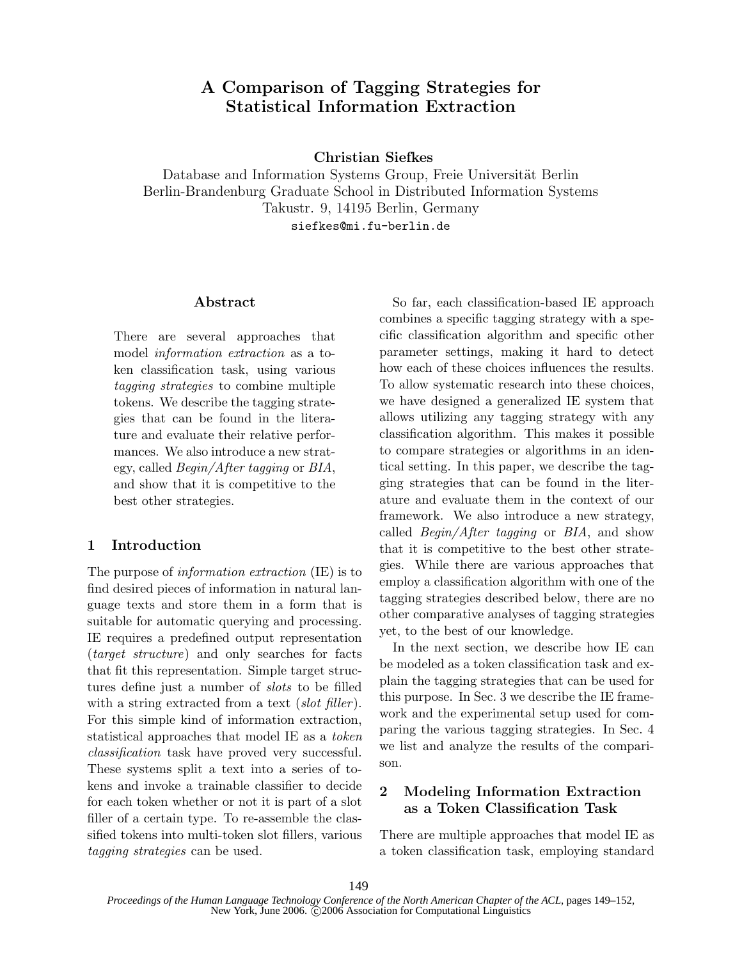# A Comparison of Tagging Strategies for Statistical Information Extraction

Christian Siefkes

Database and Information Systems Group, Freie Universität Berlin Berlin-Brandenburg Graduate School in Distributed Information Systems Takustr. 9, 14195 Berlin, Germany siefkes@mi.fu-berlin.de

### Abstract

There are several approaches that model information extraction as a token classification task, using various tagging strategies to combine multiple tokens. We describe the tagging strategies that can be found in the literature and evaluate their relative performances. We also introduce a new strategy, called Begin/After tagging or BIA, and show that it is competitive to the best other strategies.

### 1 Introduction

The purpose of information extraction (IE) is to find desired pieces of information in natural language texts and store them in a form that is suitable for automatic querying and processing. IE requires a predefined output representation (target structure) and only searches for facts that fit this representation. Simple target structures define just a number of slots to be filled with a string extracted from a text *(slot filler)*. For this simple kind of information extraction, statistical approaches that model IE as a token classification task have proved very successful. These systems split a text into a series of tokens and invoke a trainable classifier to decide for each token whether or not it is part of a slot filler of a certain type. To re-assemble the classified tokens into multi-token slot fillers, various tagging strategies can be used.

So far, each classification-based IE approach combines a specific tagging strategy with a specific classification algorithm and specific other parameter settings, making it hard to detect how each of these choices influences the results. To allow systematic research into these choices, we have designed a generalized IE system that allows utilizing any tagging strategy with any classification algorithm. This makes it possible to compare strategies or algorithms in an identical setting. In this paper, we describe the tagging strategies that can be found in the literature and evaluate them in the context of our framework. We also introduce a new strategy, called Begin/After tagging or BIA, and show that it is competitive to the best other strategies. While there are various approaches that employ a classification algorithm with one of the tagging strategies described below, there are no other comparative analyses of tagging strategies yet, to the best of our knowledge.

In the next section, we describe how IE can be modeled as a token classification task and explain the tagging strategies that can be used for this purpose. In Sec. 3 we describe the IE framework and the experimental setup used for comparing the various tagging strategies. In Sec. 4 we list and analyze the results of the comparison.

### 2 Modeling Information Extraction as a Token Classification Task

There are multiple approaches that model IE as a token classification task, employing standard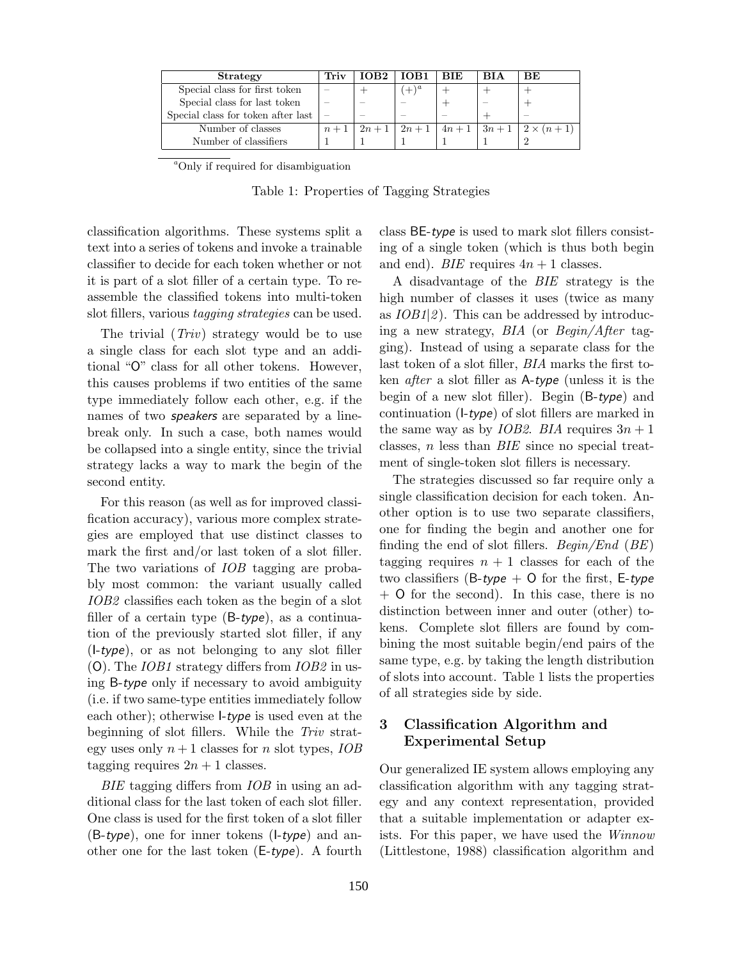| <b>Strategy</b>                    | Triv  | IOB2   | IOB1    | <b>BIE</b> | <b>BIA</b>               | ВE                            |
|------------------------------------|-------|--------|---------|------------|--------------------------|-------------------------------|
| Special class for first token      |       |        | $(+)^a$ |            |                          |                               |
| Special class for last token       |       |        |         |            |                          |                               |
| Special class for token after last |       |        |         |            |                          |                               |
| Number of classes                  | $n+1$ | $2n+1$ |         |            | $2n+1$   $4n+1$   $3n+1$ | $\left(2 \times (n+1)\right)$ |
| Number of classifiers              |       |        |         |            |                          |                               |

<sup>a</sup>Only if required for disambiguation

Table 1: Properties of Tagging Strategies

classification algorithms. These systems split a text into a series of tokens and invoke a trainable classifier to decide for each token whether or not it is part of a slot filler of a certain type. To reassemble the classified tokens into multi-token slot fillers, various tagging strategies can be used.

The trivial  $(Triv)$  strategy would be to use a single class for each slot type and an additional "O" class for all other tokens. However, this causes problems if two entities of the same type immediately follow each other, e.g. if the names of two speakers are separated by a linebreak only. In such a case, both names would be collapsed into a single entity, since the trivial strategy lacks a way to mark the begin of the second entity.

For this reason (as well as for improved classification accuracy), various more complex strategies are employed that use distinct classes to mark the first and/or last token of a slot filler. The two variations of *IOB* tagging are probably most common: the variant usually called IOB2 classifies each token as the begin of a slot filler of a certain type  $(B-type)$ , as a continuation of the previously started slot filler, if any (I-type), or as not belonging to any slot filler (O). The IOB1 strategy differs from IOB2 in using B-type only if necessary to avoid ambiguity (i.e. if two same-type entities immediately follow each other); otherwise I-type is used even at the beginning of slot fillers. While the Triv strategy uses only  $n+1$  classes for n slot types, *IOB* tagging requires  $2n + 1$  classes.

BIE tagging differs from IOB in using an additional class for the last token of each slot filler. One class is used for the first token of a slot filler  $(B-type)$ , one for inner tokens  $(I-type)$  and another one for the last token (E-type). A fourth class BE-type is used to mark slot fillers consisting of a single token (which is thus both begin and end). *BIE* requires  $4n + 1$  classes.

A disadvantage of the BIE strategy is the high number of classes it uses (twice as many as  $IOB1|2)$ . This can be addressed by introducing a new strategy, BIA (or Begin/After tagging). Instead of using a separate class for the last token of a slot filler, BIA marks the first token after a slot filler as A-type (unless it is the begin of a new slot filler). Begin (B-type) and continuation (I-type) of slot fillers are marked in the same way as by *IOB2*. *BIA* requires  $3n + 1$ classes,  $n$  less than  $BIE$  since no special treatment of single-token slot fillers is necessary.

The strategies discussed so far require only a single classification decision for each token. Another option is to use two separate classifiers, one for finding the begin and another one for finding the end of slot fillers. Begin/End  $(BE)$ tagging requires  $n + 1$  classes for each of the two classifiers (B-type  $+$  O for the first, E-type + O for the second). In this case, there is no distinction between inner and outer (other) tokens. Complete slot fillers are found by combining the most suitable begin/end pairs of the same type, e.g. by taking the length distribution of slots into account. Table 1 lists the properties of all strategies side by side.

## 3 Classification Algorithm and Experimental Setup

Our generalized IE system allows employing any classification algorithm with any tagging strategy and any context representation, provided that a suitable implementation or adapter exists. For this paper, we have used the Winnow (Littlestone, 1988) classification algorithm and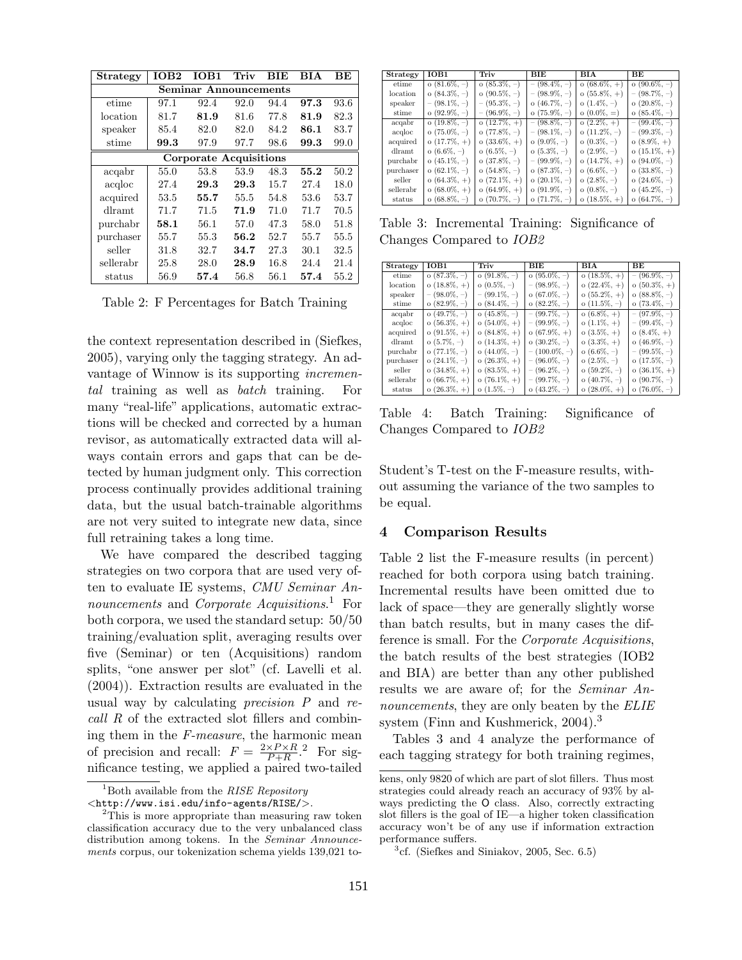| <b>Strategy</b>        | IOB2 | IOB1 | Triv | BIE  | BIA  | BЕ   |  |
|------------------------|------|------|------|------|------|------|--|
| Seminar Announcements  |      |      |      |      |      |      |  |
| etime                  | 97.1 | 92.4 | 92.0 | 94.4 | 97.3 | 93.6 |  |
| location               | 81.7 | 81.9 | 81.6 | 77.8 | 81.9 | 82.3 |  |
| speaker                | 85.4 | 82.0 | 82.0 | 84.2 | 86.1 | 83.7 |  |
| stime                  | 99.3 | 97.9 | 97.7 | 98.6 | 99.3 | 99.0 |  |
| Corporate Acquisitions |      |      |      |      |      |      |  |
| acqabr                 | 55.0 | 53.8 | 53.9 | 48.3 | 55.2 | 50.2 |  |
| acqloc                 | 27.4 | 29.3 | 29.3 | 15.7 | 27.4 | 18.0 |  |
| acquired               | 53.5 | 55.7 | 55.5 | 54.8 | 53.6 | 53.7 |  |
| $\text{d}$ ramt        | 71.7 | 71.5 | 71.9 | 71.0 | 71.7 | 70.5 |  |
| purchabr               | 58.1 | 56.1 | 57.0 | 47.3 | 58.0 | 51.8 |  |
| purchaser              | 55.7 | 55.3 | 56.2 | 52.7 | 55.7 | 55.5 |  |
| seller                 | 31.8 | 32.7 | 34.7 | 27.3 | 30.1 | 32.5 |  |
| sellerabr              | 25.8 | 28.0 | 28.9 | 16.8 | 24.4 | 21.4 |  |
| $_{\rm status}$        | 56.9 | 57.4 | 56.8 | 56.1 | 57.4 | 55.2 |  |

Table 2: F Percentages for Batch Training

the context representation described in (Siefkes, 2005), varying only the tagging strategy. An advantage of Winnow is its supporting incremental training as well as batch training. For many "real-life" applications, automatic extractions will be checked and corrected by a human revisor, as automatically extracted data will always contain errors and gaps that can be detected by human judgment only. This correction process continually provides additional training data, but the usual batch-trainable algorithms are not very suited to integrate new data, since full retraining takes a long time.

We have compared the described tagging strategies on two corpora that are used very often to evaluate IE systems, CMU Seminar Announcements and Corporate Acquisitions.<sup>1</sup> For both corpora, we used the standard setup: 50/50 training/evaluation split, averaging results over five (Seminar) or ten (Acquisitions) random splits, "one answer per slot" (cf. Lavelli et al. (2004)). Extraction results are evaluated in the usual way by calculating *precision*  $P$  and  $re$ call R of the extracted slot fillers and combining them in the F-measure, the harmonic mean of precision and recall:  $F = \frac{2 \times P \times R}{P+R}$  $\frac{\times P \times R}{P + R}$ .<sup>2</sup> For significance testing, we applied a paired two-tailed

| <b>Strategy</b> | IOB1                 | Triv                 | BIE                  | BIA               | BE                   |
|-----------------|----------------------|----------------------|----------------------|-------------------|----------------------|
| etime           | $o(81.6\%, -)$       | $o(85.3\%,-)$        | $-$ (98.4\%, -)      | $o(68.6\%, +)$    | $o(90.6\%, -)$       |
| location        | $o(84.3\%, -)$       | $o(90.5\%, -)$       | $-$ (98.9\%, -)      | $o(55.8\%, +)$    | $-$ (98.7\%, -)      |
| speaker         | $-$ (98.1\%, -)      | $-$ (95.3\%, -)      | $o(46.7\%,-)$        | $o(1.4\%, -)$     | $\alpha$ (20.8%, -)  |
| stime           | $o(92.9\%, -)$       | $-$ (96.9%, $-$ )    | $o(75.9\%,-)$        | $o(0.0\%, =)$     | $o(85.4\%, -)$       |
| acqabr          | $o(19.8\%,-)$        | $o(12.7\%, +)$       | $-$ (98.8%, $-$ )    | $o(2.2\%, +)$     | $-$ (99.4\%, -)      |
| aculoc          | $\alpha$ (75.0\%, -) | o $(77.8\%, -)$      | $-$ (98.1\%, -)      | $o(11.2\%,-)$     | $-$ (99.3\%, -)      |
| acquired        | $o(17.7\%, +)$       | $o(33.6\%, +)$       | $o(9.0\%,-)$         | $o(0.3\%, -)$     | $o(8.9\%, +)$        |
| dlramt          | $\alpha$ (6.6%, -)   | $o(6.5\%, -)$        | $o(5.3\%,-)$         | $o(2.9\%,-)$      | $o(15.1\%, +)$       |
| purchabr        | $o(45.1\%,-)$        | $o(37.8\%,-)$        | $-$ (99.9\%, -)      | $o(14.7\%, +)$    | $\alpha$ (94.0\%, -) |
| purchaser       | $\alpha$ (62.1\%, -) | $o(54.8\%,-)$        | $o(87.3\%,-)$        | $\circ$ (6.6%, -) | $\alpha$ (33.8%, -)  |
| seller          | $o(64.3\%, +)$       | $o(72.1\%, +)$       | $\alpha$ (20.1\%, -) | $o(2.8\%, -)$     | $o(24.6\%, -)$       |
| sellerabr       | $\sigma$ (68.0\%, +) | $o(64.9\%, +)$       | $\circ$ (91.9%, -)   | $o(0.8\%, -)$     | $o(45.2\%, -)$       |
| status          | $\alpha$ (68.8%, $-$ | $\alpha$ (70.7%, $-$ | $\alpha$ (71.7%, $-$ | $o(18.5\%, +)$    | $o(64.7\%,-)$        |

Table 3: Incremental Training: Significance of Changes Compared to IOB2

| Strategy  | IOB1            | Triv                 | <b>BIE</b>           | <b>BIA</b>           | ВE                   |
|-----------|-----------------|----------------------|----------------------|----------------------|----------------------|
| etime     | $o(87.3\%,-)$   | $o(91.8\%, -)$       | $\alpha$ (95.0\%, -) | $o(18.5\%, +)$       | $- (96.9\%,-)$       |
| location  | $o(18.8\%, +)$  | $o(0.5\%, -)$        | $-$ (98.9\%, -)      | $o(22.4\%, +)$       | $o(50.3\%, +)$       |
| speaker   | $-$ (98.0\%, -) | $-$ (99.1\%, -)      | $\alpha$ (67.0\%, -) | $o(55.2\%, +)$       | $o(88.8\%, -)$       |
| stime     | $o(82.9\%, -)$  | $o(84.4\%, -)$       | $o(82.2\%, -)$       | $o(11.5\%, -)$       | $o(73.4\%, -)$       |
| acqabr    | $o(49.7\%, -)$  | $o(45.8\%,-)$        | $-$ (99.7\%, -)      | $o(6.8\%, +)$        | $-$ (97.9\%, -)      |
| acqloc    | $o(56.3\%, +)$  | $o(54.0\%, +)$       | $-$ (99.9\%, -)      | $o(1.1\%, +)$        | $-$ (99.4\%, -)      |
| acquired  | $o(91.5\%, +)$  | $o(84.8\%, +)$       | $o(67.9\%, +)$       | $o(3.5\%, +)$        | $o(8.4\%, +)$        |
| dlramt.   | $o(5.7\%, -)$   | $o(14.3\%, +)$       | $\alpha$ (30.2\%, -) | $o(3.3\%, +)$        | $\alpha$ (46.9%, -)  |
| purchabr  | $o(77.1\%,-)$   | $\alpha$ (44.0\%, -) | $-$ (100.0\%, -)     | $\circ$ (6.6\%, -)   | $-$ (99.5\%, -)      |
| purchaser | $o(24.1\%,-)$   | $o(26.3\%, +)$       | $-$ (96.0\%, -)      | $o(2.5\%,-)$         | $o(17.5\%, -)$       |
| seller    | $o(34.8\%, +)$  | $o(83.5\%, +)$       | $-$ (96.2\%, -)      | $o(59.2\%, -)$       | $o(36.1\%, +)$       |
| sellerabr | $o(66.7\%, +)$  | $o(76.1\%, +)$       | $-$ (99.7\%, -)      | $o(40.7\%,-)$        | $o(90.7\%, -)$       |
| status    | $o(26.3\%, +)$  | $o(1.5\%, -)$        | $o(43.2\%, -)$       | $\alpha$ (28.0\%), + | $\alpha$ (76.0\%, -) |

Table 4: Batch Training: Significance of Changes Compared to IOB2

Student's T-test on the F-measure results, without assuming the variance of the two samples to be equal.

#### 4 Comparison Results

Table 2 list the F-measure results (in percent) reached for both corpora using batch training. Incremental results have been omitted due to lack of space—they are generally slightly worse than batch results, but in many cases the difference is small. For the Corporate Acquisitions, the batch results of the best strategies (IOB2 and BIA) are better than any other published results we are aware of; for the Seminar Announcements, they are only beaten by the ELIE system (Finn and Kushmerick, 2004).<sup>3</sup>

Tables 3 and 4 analyze the performance of each tagging strategy for both training regimes,

 $1<sup>1</sup>$ Both available from the *RISE Repository* 

<sup>&</sup>lt;http://www.isi.edu/info-agents/RISE/>.

<sup>&</sup>lt;sup>2</sup>This is more appropriate than measuring raw token classification accuracy due to the very unbalanced class distribution among tokens. In the Seminar Announcements corpus, our tokenization schema yields 139,021 to-

kens, only 9820 of which are part of slot fillers. Thus most strategies could already reach an accuracy of 93% by always predicting the O class. Also, correctly extracting slot fillers is the goal of IE—a higher token classification accuracy won't be of any use if information extraction performance suffers.

<sup>3</sup> cf. (Siefkes and Siniakov, 2005, Sec. 6.5)